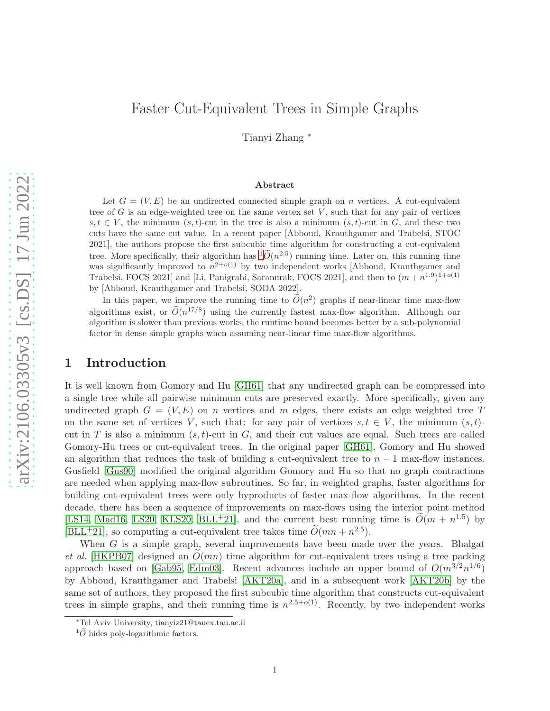# Faster Cut-Equivalent Trees in Simple Graphs Tianyi Zhang <sup>∗</sup>

#### Abstract

Let  $G = (V, E)$  be an undirected connected simple graph on n vertices. A cut-equivalent tree of  $G$  is an edge-weighted tree on the same vertex set  $V$ , such that for any pair of vertices  $s, t \in V$ , the minimum  $(s, t)$ -cut in the tree is also a minimum  $(s, t)$ -cut in G, and these two cuts have the same cut value. In a recent paper [Abboud, Krauthgamer and Trabelsi, STOC 2021], the authors propose the first subcubic time algorithm for constructing a cut-equivalent tree. More specifically, their algorithm has  ${}^{1}\tilde{O}(n^{2.5})$  ${}^{1}\tilde{O}(n^{2.5})$  ${}^{1}\tilde{O}(n^{2.5})$  running time. Later on, this running time was significantly improved to  $n^{2+o(1)}$  by two independent works [Abboud, Krauthgamer and Trabelsi, FOCS 2021] and [Li, Panigrahi, Saranurak, FOCS 2021], and then to  $(m+n^{1.9})^{1+o(1)}$ by [Abboud, Krauthgamer and Trabelsi, SODA 2022].

In this paper, we improve the running time to  $O(n^2)$  graphs if near-linear time max-flow algorithms exist, or  $\tilde{O}(n^{17/8})$  using the currently fastest max-flow algorithm. Although our algorithm is slower than previous works, the runtime bound becomes better by a sub-polynomial factor in dense simple graphs when assuming near-linear time max-flow algorithms.

## 1 Introduction

It is well known from Gomory and Hu [\[GH61\]](#page-17-0) that any undirected graph can be compressed into a single tree while all pairwise minimum cuts are preserved exactly. More specifically, given any undirected graph  $G = (V, E)$  on n vertices and m edges, there exists an edge weighted tree T on the same set of vertices V, such that: for any pair of vertices  $s, t \in V$ , the minimum  $(s, t)$ cut in T is also a minimum  $(s, t)$ -cut in G, and their cut values are equal. Such trees are called Gomory-Hu trees or cut-equivalent trees. In the original paper [\[GH61\]](#page-17-0), Gomory and Hu showed an algorithm that reduces the task of building a cut-equivalent tree to  $n - 1$  max-flow instances. Gusfield [\[Gus90\]](#page-17-1) modified the original algorithm Gomory and Hu so that no graph contractions are needed when applying max-flow subroutines. So far, in weighted graphs, faster algorithms for building cut-equivalent trees were only byproducts of faster max-flow algorithms. In the recent decade, there has been a sequence of improvements on max-flows using the interior point method [\[LS14,](#page-17-2) [Mad16,](#page-17-3) [LS20,](#page-17-4) [KLS20,](#page-17-5) [BLL](#page-16-0)<sup>+</sup>21], and the current best running time is  $\tilde{O}(m + n^{1.5})$  by [\[BLL](#page-16-0)<sup>+</sup>21], so computing a cut-equivalent tree takes time  $\tilde{O}(mn + n^{2.5})$ .

When G is a simple graph, several improvements have been made over the years. Bhalgat et al. [\[HKPB07\]](#page-17-6) designed an  $O(mn)$  time algorithm for cut-equivalent trees using a tree packing approach based on [\[Gab95,](#page-17-7) [Edm03\]](#page-16-1). Recent advances include an upper bound of  $O(m^{3/2}n^{1/6})$ by Abboud, Krauthgamer and Trabelsi [\[AKT20a\]](#page-16-2), and in a subsequent work [\[AKT20b\]](#page-16-3) by the same set of authors, they proposed the first subcubic time algorithm that constructs cut-equivalent trees in simple graphs, and their running time is  $n^{2.5+o(1)}$ . Recently, by two independent works

<sup>∗</sup>Tel Aviv University, tianyiz21@tauex.tau.ac.il

<span id="page-0-0"></span> ${}^{1}\tilde{O}$  hides poly-logarithmic factors.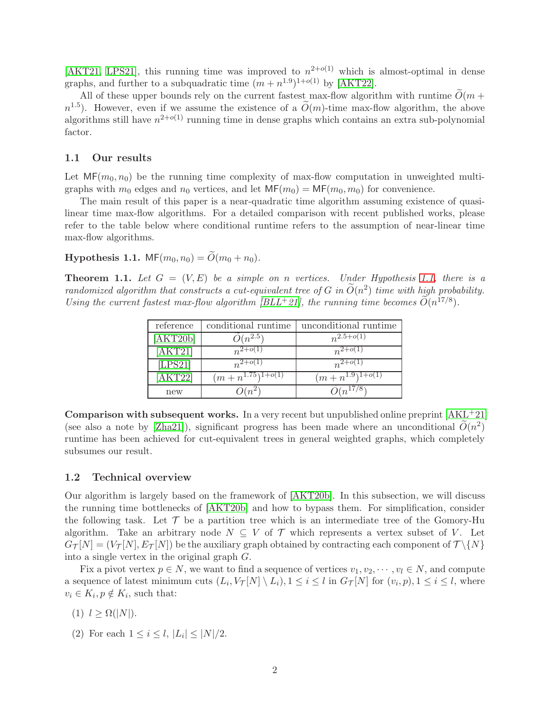[\[AKT21,](#page-16-4) [LPS21\]](#page-17-8), this running time was improved to  $n^{2+o(1)}$  which is almost-optimal in dense graphs, and further to a subquadratic time  $(m + n^{1.9})^{1+o(1)}$  by [\[AKT22\]](#page-16-5).

All of these upper bounds rely on the current fastest max-flow algorithm with runtime  $\widetilde{O}(m +$  $n^{1.5}$ ). However, even if we assume the existence of a  $\tilde{O}(m)$ -time max-flow algorithm, the above algorithms still have  $n^{2+o(1)}$  running time in dense graphs which contains an extra sub-polynomial factor.

## 1.1 Our results

Let  $MF(m_0, n_0)$  be the running time complexity of max-flow computation in unweighted multigraphs with  $m_0$  edges and  $n_0$  vertices, and let  $MF(m_0) = MF(m_0, m_0)$  for convenience.

The main result of this paper is a near-quadratic time algorithm assuming existence of quasilinear time max-flow algorithms. For a detailed comparison with recent published works, please refer to the table below where conditional runtime refers to the assumption of near-linear time max-flow algorithms.

# <span id="page-1-0"></span>**Hypothesis 1.1.** MF $(m_0, n_0) = \widetilde{O}(m_0 + n_0)$ .

<span id="page-1-1"></span>**Theorem 1.1.** Let  $G = (V, E)$  be a simple on n vertices. Under Hypothesis [1.1,](#page-1-0) there is a randomized algorithm that constructs a cut-equivalent tree of G in  $O(n^2)$  time with high probability. Using the current fastest max-flow algorithm [\[BLL](#page-16-0)<sup>+</sup>21], the running time becomes  $O(n^{17/8})$ .

| reference | conditional runtime                | unconditional runtime  |
|-----------|------------------------------------|------------------------|
| [AKT20b]  | $O(n^{2.5})$                       | $n^{2.5+o(1)}$         |
| [AKT21]   | $n^{2+0}$ (1                       | $n^{2+o(1)}$           |
| [LPS21]   | $n^{2+O(1)}$                       | $n^{2+O(1)}$           |
| [AKT22]   | $(m+n^{1.75})^{1+\overline{o(1)}}$ | $(m+n^{1.9})^{1+o(1)}$ |
| new       | $(m^2)$                            | $O(n^{17/8})$          |

Comparison with subsequent works. In a very recent but unpublished online preprint [\[AKL](#page-16-6)+21] (see also a note by [\[Zha21\]](#page-17-9)), significant progress has been made where an unconditional  $\tilde{O}(n^2)$ runtime has been achieved for cut-equivalent trees in general weighted graphs, which completely subsumes our result.

## 1.2 Technical overview

Our algorithm is largely based on the framework of [\[AKT20b\]](#page-16-3). In this subsection, we will discuss the running time bottlenecks of [\[AKT20b\]](#page-16-3) and how to bypass them. For simplification, consider the following task. Let  $\mathcal T$  be a partition tree which is an intermediate tree of the Gomory-Hu algorithm. Take an arbitrary node  $N \subseteq V$  of  $\mathcal T$  which represents a vertex subset of V. Let  $G_{\mathcal{T}}[N] = (V_{\mathcal{T}}[N], E_{\mathcal{T}}[N])$  be the auxiliary graph obtained by contracting each component of  $\mathcal{T}\setminus\{N\}$ into a single vertex in the original graph G.

Fix a pivot vertex  $p \in N$ , we want to find a sequence of vertices  $v_1, v_2, \dots, v_l \in N$ , and compute a sequence of latest minimum cuts  $(L_i, V_{\mathcal{T}}[N] \setminus L_i)$ ,  $1 \leq i \leq l$  in  $G_{\mathcal{T}}[N]$  for  $(v_i, p)$ ,  $1 \leq i \leq l$ , where  $v_i \in K_i, p \notin K_i$ , such that:

- (1)  $l > \Omega(|N|)$ .
- (2) For each  $1 \le i \le l, |L_i| \le |N|/2$ .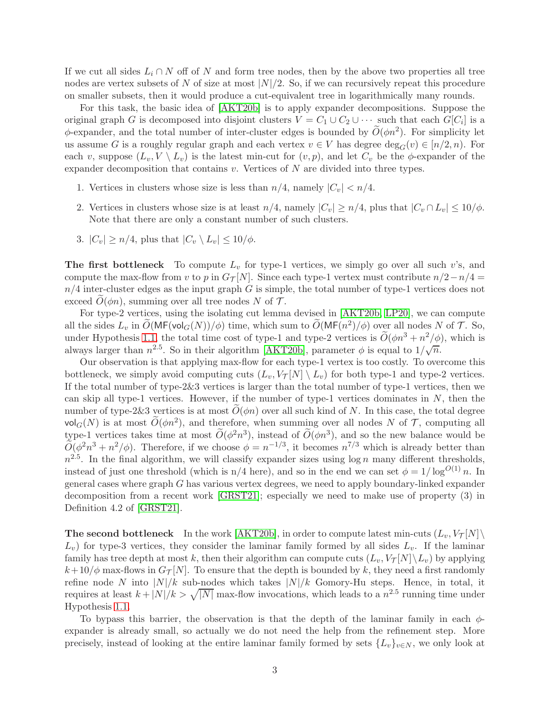If we cut all sides  $L_i \cap N$  off of N and form tree nodes, then by the above two properties all tree nodes are vertex subsets of N of size at most  $|N|/2$ . So, if we can recursively repeat this procedure on smaller subsets, then it would produce a cut-equivalent tree in logarithmically many rounds.

For this task, the basic idea of [\[AKT20b\]](#page-16-3) is to apply expander decompositions. Suppose the original graph G is decomposed into disjoint clusters  $V = C_1 \cup C_2 \cup \cdots$  such that each  $G[C_i]$  is a  $\phi$ -expander, and the total number of inter-cluster edges is bounded by  $\widetilde{O}(\phi n^2)$ . For simplicity let us assume G is a roughly regular graph and each vertex  $v \in V$  has degree  $\deg_G(v) \in [n/2, n)$ . For each v, suppose  $(L_v, V \setminus L_v)$  is the latest min-cut for  $(v, p)$ , and let  $C_v$  be the  $\phi$ -expander of the expander decomposition that contains  $v$ . Vertices of  $N$  are divided into three types.

- 1. Vertices in clusters whose size is less than  $n/4$ , namely  $|C_v| < n/4$ .
- 2. Vertices in clusters whose size is at least  $n/4$ , namely  $|C_v| \ge n/4$ , plus that  $|C_v \cap L_v| \le 10/\phi$ . Note that there are only a constant number of such clusters.
- 3.  $|C_v| \ge n/4$ , plus that  $|C_v \setminus L_v| \le 10/\phi$ .

The first bottleneck To compute  $L_v$  for type-1 vertices, we simply go over all such v's, and compute the max-flow from v to p in  $G_{\mathcal{T}}[N]$ . Since each type-1 vertex must contribute  $n/2-n/4 =$  $n/4$  inter-cluster edges as the input graph G is simple, the total number of type-1 vertices does not exceed  $O(\phi n)$ , summing over all tree nodes N of T.

For type-2 vertices, using the isolating cut lemma devised in [\[AKT20b,](#page-16-3) [LP20\]](#page-17-10), we can compute all the sides  $L_v$  in  $\tilde{O}(\mathsf{MF}(\mathsf{vol}_G(N))/\phi)$  time, which sum to  $\tilde{O}(\mathsf{MF}(n^2)/\phi)$  over all nodes N of T. So, under Hypothesis [1.1,](#page-1-0) the total time cost of type-1 and type-2 vertices is  $\tilde{O}(\phi n^3 + n^2/\phi)$ , which is always larger than  $n^{2.5}$ . So in their algorithm [\[AKT20b\]](#page-16-3), parameter  $\phi$  is equal to  $1/\sqrt{n}$ .

Our observation is that applying max-flow for each type-1 vertex is too costly. To overcome this bottleneck, we simply avoid computing cuts  $(L_v, V_\mathcal{T}[N] \setminus L_v)$  for both type-1 and type-2 vertices. If the total number of type-2&3 vertices is larger than the total number of type-1 vertices, then we can skip all type-1 vertices. However, if the number of type-1 vertices dominates in  $N$ , then the number of type-2&3 vertices is at most  $O(\phi n)$  over all such kind of N. In this case, the total degree vol<sub>G</sub>(N) is at most  $\widetilde{O}(\phi n^2)$ , and therefore, when summing over all nodes N of T, computing all type-1 vertices takes time at most  $O(\phi^2 n^3)$ , instead of  $O(\phi n^3)$ , and so the new balance would be  $\tilde{O}(\phi^2 n^3 + n^2/\phi)$ . Therefore, if we choose  $\phi = n^{-1/3}$ , it becomes  $n^{7/3}$  which is already better than  $n^{2.5}$ . In the final algorithm, we will classify expander sizes using  $\log n$  many different thresholds, instead of just one threshold (which is n/4 here), and so in the end we can set  $\phi = 1/\log^{O(1)} n$ . In general cases where graph G has various vertex degrees, we need to apply boundary-linked expander decomposition from a recent work [\[GRST21\]](#page-17-11); especially we need to make use of property (3) in Definition 4.2 of [\[GRST21\]](#page-17-11).

**The second bottleneck** In the work [\[AKT20b\]](#page-16-3), in order to compute latest min-cuts  $(L_v, V_\mathcal{T}[N])$  $L_v$ ) for type-3 vertices, they consider the laminar family formed by all sides  $L_v$ . If the laminar family has tree depth at most k, then their algorithm can compute cuts  $(L_v, V_\mathcal{T}[N] \setminus L_v)$  by applying  $k+10/\phi$  max-flows in  $G_{\mathcal{T}}[N]$ . To ensure that the depth is bounded by k, they need a first randomly refine node N into  $|N|/k$  sub-nodes which takes  $|N|/k$  Gomory-Hu steps. Hence, in total, it requires at least  $k + |N|/k > \sqrt{|N|}$  max-flow invocations, which leads to a  $n^{2.5}$  running time under Hypothesis [1.1.](#page-1-0)

To bypass this barrier, the observation is that the depth of the laminar family in each  $\phi$ expander is already small, so actually we do not need the help from the refinement step. More precisely, instead of looking at the entire laminar family formed by sets  $\{L_v\}_{v\in N}$ , we only look at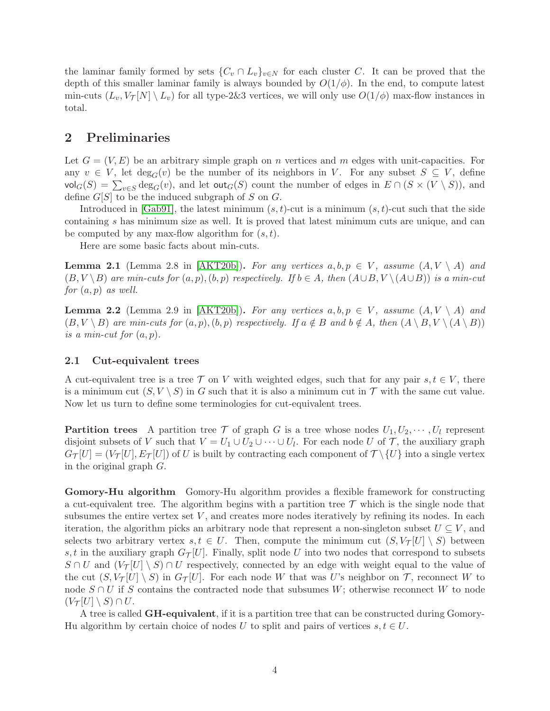the laminar family formed by sets  $\{C_v \cap L_v\}_{v \in N}$  for each cluster C. It can be proved that the depth of this smaller laminar family is always bounded by  $O(1/\phi)$ . In the end, to compute latest min-cuts  $(L_v, V_\mathcal{T}[N] \setminus L_v)$  for all type-2&3 vertices, we will only use  $O(1/\phi)$  max-flow instances in total.

## 2 Preliminaries

Let  $G = (V, E)$  be an arbitrary simple graph on n vertices and m edges with unit-capacities. For any  $v \in V$ , let  $deg_G(v)$  be the number of its neighbors in V. For any subset  $S \subseteq V$ , define  $\text{vol}_G(S) = \sum_{v \in S} \text{deg}_G(v)$ , and let  $\text{out}_G(S)$  count the number of edges in  $E \cap (S \times (V \setminus S))$ , and define  $G[S]$  to be the induced subgraph of S on G.

Introduced in [\[Gab91\]](#page-17-12), the latest minimum  $(s, t)$ -cut is a minimum  $(s, t)$ -cut such that the side containing s has minimum size as well. It is proved that latest minimum cuts are unique, and can be computed by any max-flow algorithm for  $(s, t)$ .

Here are some basic facts about min-cuts.

<span id="page-3-1"></span>**Lemma 2.1** (Lemma 2.8 in [\[AKT20b\]](#page-16-3)). For any vertices  $a, b, p \in V$ , assume  $(A, V \setminus A)$  and  $(B, V \ B)$  are min-cuts for  $(a, p), (b, p)$  respectively. If  $b \in A$ , then  $(A \cup B, V \ A \cup B)$  is a min-cut for  $(a, p)$  as well.

<span id="page-3-0"></span>**Lemma 2.2** (Lemma 2.9 in [\[AKT20b\]](#page-16-3)). For any vertices  $a, b, p \in V$ , assume  $(A, V \setminus A)$  and  $(B, V \setminus B)$  are min-cuts for  $(a, p), (b, p)$  respectively. If  $a \notin B$  and  $b \notin A$ , then  $(A \setminus B, V \setminus (A \setminus B))$ is a min-cut for  $(a, p)$ .

## 2.1 Cut-equivalent trees

A cut-equivalent tree is a tree  $\mathcal T$  on V with weighted edges, such that for any pair  $s, t \in V$ , there is a minimum cut  $(S, V \setminus S)$  in G such that it is also a minimum cut in T with the same cut value. Now let us turn to define some terminologies for cut-equivalent trees.

**Partition trees** A partition tree T of graph G is a tree whose nodes  $U_1, U_2, \cdots, U_l$  represent disjoint subsets of V such that  $V = U_1 \cup U_2 \cup \cdots \cup U_l$ . For each node U of T, the auxiliary graph  $G_{\mathcal{T}}[U] = (V_{\mathcal{T}}[U], E_{\mathcal{T}}[U])$  of U is built by contracting each component of  $\mathcal{T} \setminus \{U\}$  into a single vertex in the original graph G.

Gomory-Hu algorithm Gomory-Hu algorithm provides a flexible framework for constructing a cut-equivalent tree. The algorithm begins with a partition tree  $\mathcal T$  which is the single node that subsumes the entire vertex set  $V$ , and creates more nodes iteratively by refining its nodes. In each iteration, the algorithm picks an arbitrary node that represent a non-singleton subset  $U \subseteq V$ , and selects two arbitrary vertex  $s, t \in U$ . Then, compute the minimum cut  $(S, V_\mathcal{T}[U] \setminus S)$  between s, t in the auxiliary graph  $G_{\mathcal{T}}[U]$ . Finally, split node U into two nodes that correspond to subsets  $S \cap U$  and  $(V_T[U] \setminus S) \cap U$  respectively, connected by an edge with weight equal to the value of the cut  $(S, V_\mathcal{T}[U] \setminus S)$  in  $G_\mathcal{T}[U]$ . For each node W that was U's neighbor on T, reconnect W to node  $S \cap U$  if S contains the contracted node that subsumes W; otherwise reconnect W to node  $(V_{\mathcal{T}}[U] \setminus S) \cap U$ .

A tree is called GH-equivalent, if it is a partition tree that can be constructed during Gomory-Hu algorithm by certain choice of nodes U to split and pairs of vertices  $s, t \in U$ .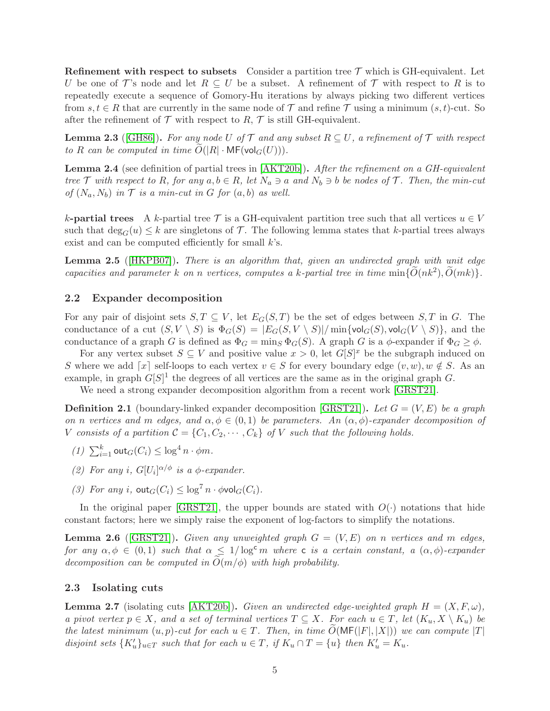**Refinement with respect to subsets** Consider a partition tree  $\mathcal{T}$  which is GH-equivalent. Let U be one of T's node and let  $R \subseteq U$  be a subset. A refinement of T with respect to R is to repeatedly execute a sequence of Gomory-Hu iterations by always picking two different vertices from  $s, t \in R$  that are currently in the same node of T and refine T using a minimum  $(s, t)$ -cut. So after the refinement of  $\mathcal T$  with respect to R,  $\mathcal T$  is still GH-equivalent.

<span id="page-4-1"></span>**Lemma 2.3** ([\[GH86\]](#page-17-13)). For any node U of T and any subset  $R \subseteq U$ , a refinement of T with respect to R can be computed in time  $O(|R| \cdot \text{MF}(\text{vol}_G(U)))$ .

<span id="page-4-3"></span>Lemma 2.4 (see definition of partial trees in [\[AKT20b\]](#page-16-3)). After the refinement on a GH-equivalent tree T with respect to R, for any  $a, b \in R$ , let  $N_a \ni a$  and  $N_b \ni b$  be nodes of T. Then, the min-cut of  $(N_a, N_b)$  in  $\mathcal T$  is a min-cut in G for  $(a, b)$  as well.

k-**partial trees** A k-partial tree  $\mathcal{T}$  is a GH-equivalent partition tree such that all vertices  $u \in V$ such that  $\deg_G(u) \leq k$  are singletons of T. The following lemma states that k-partial trees always exist and can be computed efficiently for small  $k$ 's.

<span id="page-4-4"></span>Lemma 2.5 (HKPB07). There is an algorithm that, given an undirected graph with unit edge capacities and parameter k on n vertices, computes a k-partial tree in time  $\min\{\tilde{O}(nk^2), \tilde{O}(mk)\}.$ 

## 2.2 Expander decomposition

For any pair of disjoint sets  $S, T \subseteq V$ , let  $E_G(S, T)$  be the set of edges between  $S, T$  in G. The conductance of a cut  $(S, V \setminus S)$  is  $\Phi_G(S) = |E_G(S, V \setminus S)| / \min{\lbrace \text{vol}_G(S), \text{vol}_G(V \setminus S) \rbrace}$ , and the conductance of a graph G is defined as  $\Phi_G = \min_S \Phi_G(S)$ . A graph G is a  $\phi$ -expander if  $\Phi_G \geq \phi$ .

For any vertex subset  $S \subseteq V$  and positive value  $x > 0$ , let  $G[S]^x$  be the subgraph induced on S where we add  $\lceil x \rceil$  self-loops to each vertex  $v \in S$  for every boundary edge  $(v, w), w \notin S$ . As an example, in graph  $G[S]^1$  the degrees of all vertices are the same as in the original graph G.

We need a strong expander decomposition algorithm from a recent work [\[GRST21\]](#page-17-11).

<span id="page-4-0"></span>**Definition 2.1** (boundary-linked expander decomposition [\[GRST21\]](#page-17-11)). Let  $G = (V, E)$  be a graph on n vertices and m edges, and  $\alpha, \phi \in (0,1)$  be parameters. An  $(\alpha, \phi)$ -expander decomposition of V consists of a partition  $C = \{C_1, C_2, \cdots, C_k\}$  of V such that the following holds.

- (1)  $\sum_{i=1}^k \text{out}_G(C_i) \leq \log^4 n \cdot \phi m$ .
- (2) For any i,  $G[U_i]^{\alpha/\phi}$  is a  $\phi$ -expander.
- (3) For any i,  $\text{out}_G(C_i) \leq \log^7 n \cdot \phi \text{vol}_G(C_i)$ .

In the original paper [\[GRST21\]](#page-17-11), the upper bounds are stated with  $O(\cdot)$  notations that hide constant factors; here we simply raise the exponent of log-factors to simplify the notations.

**Lemma 2.6** ([\[GRST21\]](#page-17-11)). Given any unweighted graph  $G = (V, E)$  on n vertices and m edges, for any  $\alpha, \phi \in (0,1)$  such that  $\alpha \leq 1/\log^c m$  where c is a certain constant, a  $(\alpha, \phi)$ -expander decomposition can be computed in  $\tilde{O}(m/\phi)$  with high probability.

## 2.3 Isolating cuts

<span id="page-4-2"></span>**Lemma 2.7** (isolating cuts [\[AKT20b\]](#page-16-3)). Given an undirected edge-weighted graph  $H = (X, F, \omega)$ , a pivot vertex  $p \in X$ , and a set of terminal vertices  $T \subseteq X$ . For each  $u \in T$ , let  $(K_u, X \setminus K_u)$  be the latest minimum  $(u, p)\text{-}cut$  for each  $u \in T$ . Then, in time  $O(MF(|F|, |X|))$  we can compute |T| disjoint sets  $\{K'_u\}_{u \in T}$  such that for each  $u \in T$ , if  $K_u \cap T = \{u\}$  then  $K'_u = K_u$ .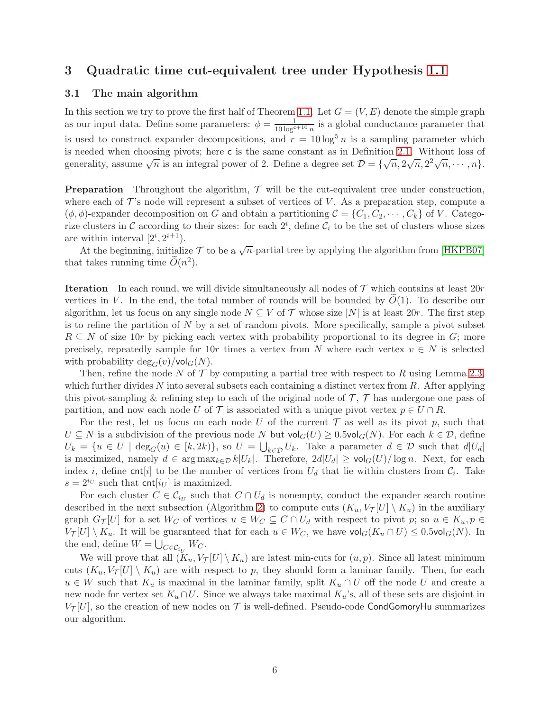## 3 Quadratic time cut-equivalent tree under Hypothesis [1.1](#page-1-0)

## 3.1 The main algorithm

In this section we try to prove the first half of Theorem [1.1.](#page-1-1) Let  $G = (V, E)$  denote the simple graph as our input data. Define some parameters:  $\phi = \frac{1}{10 \log^{c+10} n}$  is a global conductance parameter that is used to construct expander decompositions, and  $r = 10 \log^5 n$  is a sampling parameter which is needed when choosing pivots; here c is the same constant as in Definition [2.1.](#page-4-0) Without loss of generality, assume  $\sqrt{n}$  is an integral power of 2. Define a degree set  $\mathcal{D} = {\sqrt{n}, 2\sqrt{n}, 2^2\sqrt{n}, \cdots, n}.$ 

**Preparation** Throughout the algorithm,  $\mathcal{T}$  will be the cut-equivalent tree under construction, where each of  $\mathcal{T}$ 's node will represent a subset of vertices of V. As a preparation step, compute a  $(\phi, \phi)$ -expander decomposition on G and obtain a partitioning  $\mathcal{C} = \{C_1, C_2, \cdots, C_k\}$  of V. Categorize clusters in C according to their sizes: for each  $2^i$ , define  $C_i$  to be the set of clusters whose sizes are within interval  $[2^i, 2^{i+1})$ .

At the beginning, initialize  $\mathcal T$  to be a  $\sqrt{n}$ -partial tree by applying the algorithm from [\[HKPB07\]](#page-17-6) that takes running time  $\widetilde{O}(n^2)$ .

**Iteration** In each round, we will divide simultaneously all nodes of  $\mathcal T$  which contains at least 20*r* vertices in V. In the end, the total number of rounds will be bounded by  $O(1)$ . To describe our algorithm, let us focus on any single node  $N \subseteq V$  of  $\mathcal T$  whose size  $|N|$  is at least 20r. The first step is to refine the partition of  $N$  by a set of random pivots. More specifically, sample a pivot subset  $R \subseteq N$  of size 10r by picking each vertex with probability proportional to its degree in G; more precisely, repeatedly sample for 10r times a vertex from N where each vertex  $v \in N$  is selected with probability  $deg_G(v)/vol_G(N)$ .

Then, refine the node N of  $\mathcal T$  by computing a partial tree with respect to R using Lemma [2.3,](#page-4-1) which further divides N into several subsets each containing a distinct vertex from  $R$ . After applying this pivot-sampling & refining step to each of the original node of  $\mathcal{T}, \mathcal{T}$  has undergone one pass of partition, and now each node U of T is associated with a unique pivot vertex  $p \in U \cap R$ .

For the rest, let us focus on each node U of the current  $\mathcal T$  as well as its pivot p, such that  $U \subseteq N$  is a subdivision of the previous node N but  $\text{vol}_G(U) \geq 0.5 \text{vol}_G(N)$ . For each  $k \in \mathcal{D}$ , define  $U_k = \{u \in U \mid \deg_G(u) \in [k, 2k)\},\$  so  $U = \bigcup_{k \in \mathcal{D}} U_k$ . Take a parameter  $d \in \mathcal{D}$  such that  $d|U_d|$ is maximized, namely  $d \in \arg \max_{k \in \mathcal{D}} k|U_k|$ . Therefore,  $2d|U_d| \geq \text{vol}_G(U)/\log n$ . Next, for each index *i*, define cnt[*i*] to be the number of vertices from  $U_d$  that lie within clusters from  $\mathcal{C}_i$ . Take  $s = 2^{i_U}$  such that cnt $[i_U]$  is maximized.

For each cluster  $C \in \mathcal{C}_{i_U}$  such that  $C \cap U_d$  is nonempty, conduct the expander search routine described in the next subsection (Algorithm [2\)](#page-8-0) to compute cuts  $(K_u, V_\mathcal{T}[U] \setminus K_u)$  in the auxiliary graph  $G_{\mathcal{T}}[U]$  for a set  $W_C$  of vertices  $u \in W_C \subseteq C \cap U_d$  with respect to pivot p; so  $u \in K_u$ ,  $p \in$  $V_{\mathcal{T}}[U] \setminus K_u$ . It will be guaranteed that for each  $u \in W_C$ , we have  $\text{vol}_G(K_u \cap U) \leq 0.5 \text{vol}_G(N)$ . In the end, define  $W = \bigcup$  $_{C\in\mathcal{C}_{i_{U}}}W_{C}.$ 

We will prove that all  $(K_u, V_\mathcal{T}[U] \setminus K_u)$  are latest min-cuts for  $(u, p)$ . Since all latest minimum cuts  $(K_u, V_\mathcal{T}[U] \setminus K_u)$  are with respect to p, they should form a laminar family. Then, for each  $u \in W$  such that  $K_u$  is maximal in the laminar family, split  $K_u \cap U$  off the node U and create a new node for vertex set  $K_u \cap U$ . Since we always take maximal  $K_u$ 's, all of these sets are disjoint in  $V_{\mathcal{T}}[U]$ , so the creation of new nodes on  $\mathcal T$  is well-defined. Pseudo-code CondGomoryHu summarizes our algorithm.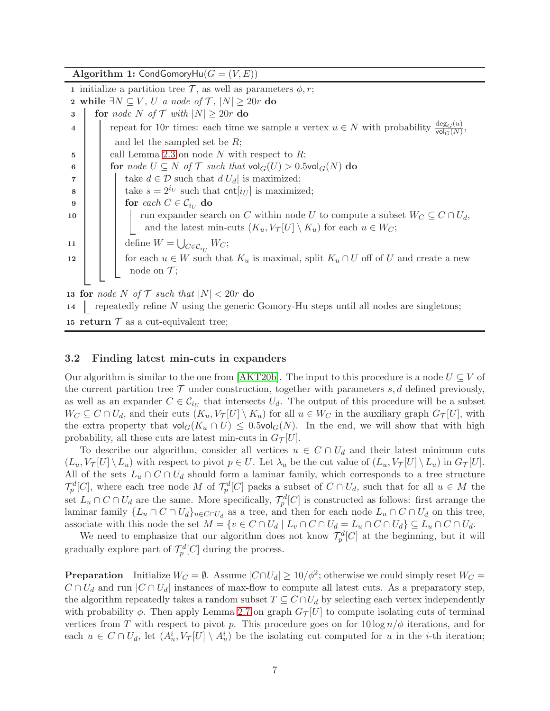Algorithm 1: CondGomoryHu $(G = (V, E))$ 

1 initialize a partition tree  $\mathcal{T}$ , as well as parameters  $\phi$ , r; 2 while  $\exists N \subseteq V$ , U a node of  $\mathcal{T}$ ,  $|N| \geq 20r$  do<br>3  $\parallel$  for node N of  $\mathcal{T}$  with  $|N| > 20r$  do for node N of  $\mathcal{T}$  with  $|N| \geq 20r$  do 4 repeat for 10r times: each time we sample a vertex  $u \in N$  with probability  $\frac{\deg_G(u)}{\text{vol}_G(N)}$ , and let the sampled set be R;  $\mathbf{5}$  | call Lemma [2.3](#page-4-1) on node N with respect to R; 6 for node  $U \subseteq N$  of T such that  $\mathsf{vol}_G(U) > 0.5\mathsf{vol}_G(N)$  do 7 | | take  $d \in \mathcal{D}$  such that  $d|U_d|$  is maximized; 8 take  $s = 2^{i_U}$  such that cnt $[i_U]$  is maximized; 9 for each  $C \in \mathcal{C}_{i_U}$  do  $\vert$  run expander sea run expander search on C within node U to compute a subset  $W_C \subseteq C \cap U_d$ , and the latest min-cuts  $(K_u, V_\mathcal{T}[U] \setminus K_u)$  for each  $u \in W_C$ ; 11  $\bigcup$  define  $W = \bigcup$  $_{C\in\mathcal{C}_{i_{U}}}W_{C};$ 12 for each  $u \in W$  such that  $K_u$  is maximal, split  $K_u \cap U$  off of U and create a new node on  $\mathcal{T}$ ; 13 for node N of T such that  $|N| < 20r$  do 14 repeatedly refine  $N$  using the generic Gomory-Hu steps until all nodes are singletons;

15 return  $\mathcal T$  as a cut-equivalent tree;

## 3.2 Finding latest min-cuts in expanders

Our algorithm is similar to the one from [\[AKT20b\]](#page-16-3). The input to this procedure is a node  $U \subseteq V$  of the current partition tree  $\mathcal T$  under construction, together with parameters  $s, d$  defined previously, as well as an expander  $C \in \mathcal{C}_{i_U}$  that intersects  $U_d$ . The output of this procedure will be a subset  $W_C \subseteq C \cap U_d$ , and their cuts  $(K_u, V_{\mathcal{T}}[U] \setminus K_u)$  for all  $u \in W_C$  in the auxiliary graph  $G_{\mathcal{T}}[U]$ , with the extra property that  $\text{vol}_G(K_u \cap U) \leq 0.5 \text{vol}_G(N)$ . In the end, we will show that with high probability, all these cuts are latest min-cuts in  $G_{\mathcal{T}}[U]$ .

To describe our algorithm, consider all vertices  $u \in C \cap U_d$  and their latest minimum cuts  $(L_u, V_\mathcal{T}[U] \setminus L_u)$  with respect to pivot  $p \in U$ . Let  $\lambda_u$  be the cut value of  $(L_u, V_\mathcal{T}[U] \setminus L_u)$  in  $G_\mathcal{T}[U]$ . All of the sets  $L_u \cap C \cap U_d$  should form a laminar family, which corresponds to a tree structure  $\mathcal{T}_{p}^{d}[C]$ , where each tree node M of  $\mathcal{T}_{p}^{d}[C]$  packs a subset of  $C \cap U_{d}$ , such that for all  $u \in M$  the set  $L_u \cap C \cap U_d$  are the same. More specifically,  $\mathcal{T}_p^d[C]$  is constructed as follows: first arrange the laminar family  $\{L_u \cap C \cap U_d\}_{u \in C \cap U_d}$  as a tree, and then for each node  $L_u \cap C \cap U_d$  on this tree, associate with this node the set  $M = \{v \in C \cap U_d \mid L_v \cap C \cap U_d = L_u \cap C \cap U_d\} \subseteq L_u \cap C \cap U_d$ .

We need to emphasize that our algorithm does not know  $\mathcal{T}_{p}^{d}[C]$  at the beginning, but it will gradually explore part of  $\mathcal{T}_p^d[C]$  during the process.

**Preparation** Initialize  $W_C = \emptyset$ . Assume  $|C \cap U_d| \ge 10/\phi^2$ ; otherwise we could simply reset  $W_C = \emptyset$ .  $C \cap U_d$  and run  $|C \cap U_d|$  instances of max-flow to compute all latest cuts. As a preparatory step, the algorithm repeatedly takes a random subset  $T \subseteq C \cap U_d$  by selecting each vertex independently with probability  $\phi$ . Then apply Lemma [2.7](#page-4-2) on graph  $G_{\mathcal{T}}[U]$  to compute isolating cuts of terminal vertices from T with respect to pivot p. This procedure goes on for  $10 \log n / \phi$  iterations, and for each  $u \in C \cap U_d$ , let  $(A_u^i, V_\mathcal{T}[U] \setminus A_u^i)$  be the isolating cut computed for u in the *i*-th iteration;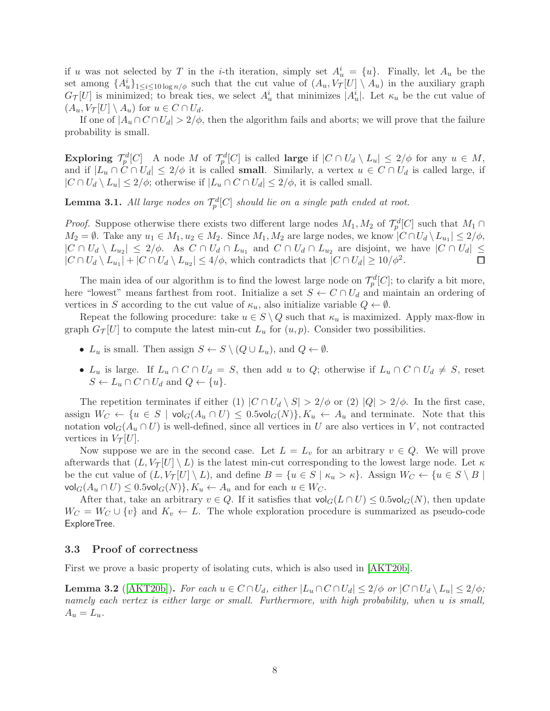if u was not selected by T in the *i*-th iteration, simply set  $A_u^i = \{u\}$ . Finally, let  $A_u$  be the set among  $\{A_u^i\}_{1\leq i\leq 10\log n/\phi}$  such that the cut value of  $(A_u, V_{\mathcal{T}}[U] \setminus A_u)$  in the auxiliary graph  $G_{\mathcal{T}}[U]$  is minimized; to break ties, we select  $A_u^i$  that minimizes  $|A_u^i|$ . Let  $\kappa_u$  be the cut value of  $(A_u, V_\mathcal{T}[U] \setminus A_u)$  for  $u \in C \cap U_d$ .

If one of  $|A_u \cap C \cap U_d| > 2/\phi$ , then the algorithm fails and aborts; we will prove that the failure probability is small.

Exploring  $\mathcal{T}_p^d[C]$  A node M of  $\mathcal{T}_p^d[C]$  is called large if  $|C \cap U_d \setminus L_u| \leq 2/\phi$  for any  $u \in M$ , and if  $|L_u \cap C \cap U_d| \leq 2/\phi$  it is called **small**. Similarly, a vertex  $u \in C \cap U_d$  is called large, if  $|C \cap U_d \setminus L_u| \leq 2/\phi$ ; otherwise if  $|L_u \cap C \cap U_d| \leq 2/\phi$ , it is called small.

**Lemma 3.1.** All large nodes on  $\mathcal{T}_p^d[C]$  should lie on a single path ended at root.

*Proof.* Suppose otherwise there exists two different large nodes  $M_1, M_2$  of  $\mathcal{T}_p^d[C]$  such that  $M_1 \cap$  $M_2 = \emptyset$ . Take any  $u_1 \in M_1, u_2 \in M_2$ . Since  $M_1, M_2$  are large nodes, we know  $|C \cap U_d \setminus L_{u_1}| \leq 2/\phi$ ,  $|C \cap U_d \setminus L_{u_2}| \leq 2/\phi$ . As  $C \cap U_d \cap L_{u_1}$  and  $C \cap U_d \cap L_{u_2}$  are disjoint, we have  $|C \cap U_d| \leq$  $|C \cap U_d \setminus L_{u_1}| + |C \cap U_d \setminus L_{u_2}| \leq 4/\phi$ , which contradicts that  $|C \cap U_d| \geq 10/\phi^2$ .

The main idea of our algorithm is to find the lowest large node on  $\mathcal{T}_p^d[C]$ ; to clarify a bit more, here "lowest" means farthest from root. Initialize a set  $S \leftarrow C \cap U_d$  and maintain an ordering of vertices in S according to the cut value of  $\kappa_u$ , also initialize variable  $Q \leftarrow \emptyset$ .

Repeat the following procedure: take  $u \in S \setminus Q$  such that  $\kappa_u$  is maximized. Apply max-flow in graph  $G_{\mathcal{T}}[U]$  to compute the latest min-cut  $L_u$  for  $(u, p)$ . Consider two possibilities.

- $L_u$  is small. Then assign  $S \leftarrow S \setminus (Q \cup L_u)$ , and  $Q \leftarrow \emptyset$ .
- $L_u$  is large. If  $L_u \cap C \cap U_d = S$ , then add u to Q; otherwise if  $L_u \cap C \cap U_d \neq S$ , reset  $S \leftarrow L_u \cap C \cap U_d$  and  $Q \leftarrow \{u\}.$

The repetition terminates if either (1)  $|C \cap U_d \setminus S| > 2/\phi$  or (2)  $|Q| > 2/\phi$ . In the first case, assign  $W_C \leftarrow \{u \in S \mid \text{vol}_G(A_u \cap U) \leq 0.5 \text{vol}_G(N)\}, K_u \leftarrow A_u$  and terminate. Note that this notation  $\text{vol}_G(A_u \cap U)$  is well-defined, since all vertices in U are also vertices in V, not contracted vertices in  $V_{\mathcal{T}}[U]$ .

Now suppose we are in the second case. Let  $L = L_v$  for an arbitrary  $v \in Q$ . We will prove afterwards that  $(L, V_\mathcal{T}[U] \setminus L)$  is the latest min-cut corresponding to the lowest large node. Let  $\kappa$ be the cut value of  $(L, V_\mathcal{T}[U] \setminus L)$ , and define  $B = \{u \in S \mid \kappa_u > \kappa\}$ . Assign  $W_C \leftarrow \{u \in S \setminus B \mid \kappa_u > \kappa\}$ .  $\mathsf{vol}_G(A_u \cap U) \leq 0.5 \mathsf{vol}_G(N) \}, K_u \leftarrow A_u \text{ and for each } u \in W_C.$ 

After that, take an arbitrary  $v \in Q$ . If it satisfies that  $\text{vol}_G(L \cap U) \leq 0.5 \text{vol}_G(N)$ , then update  $W_C = W_C \cup \{v\}$  and  $K_v \leftarrow L$ . The whole exploration procedure is summarized as pseudo-code ExploreTree.

## 3.3 Proof of correctness

First we prove a basic property of isolating cuts, which is also used in [\[AKT20b\]](#page-16-3).

<span id="page-7-0"></span>**Lemma 3.2** ([\[AKT20b\]](#page-16-3)). For each  $u \in C \cap U_d$ , either  $|L_u \cap C \cap U_d| \leq 2/\phi$  or  $|C \cap U_d \setminus L_u| \leq 2/\phi$ ; namely each vertex is either large or small. Furthermore, with high probability, when u is small,  $A_u = L_u.$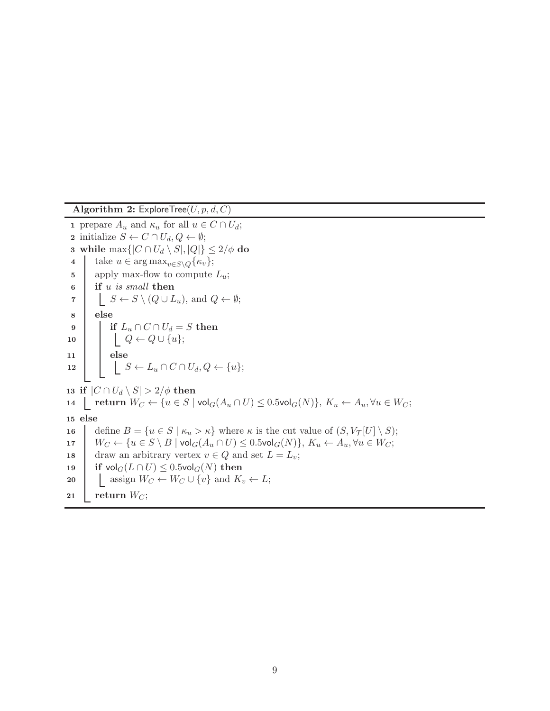<span id="page-8-0"></span>Algorithm 2: ExploreTree( $U, p, d, C$ ) 1 prepare  $A_u$  and  $\kappa_u$  for all  $u \in C \cap U_d$ ; 2 initialize  $S \leftarrow C \cap U_d, Q \leftarrow \emptyset;$ 3 while max $\{|C \cap U_d \setminus S|, |Q|\} \leq 2/\phi$  do<br>4 take  $u \in \arg \max_{v \in S \setminus \mathcal{O}} {\kappa_v}$ ; take  $u \in \arg \max_{v \in S \setminus Q} {\kappa_v};$ 5 | apply max-flow to compute  $L_u$ ; 6 if u is small then 7  $\mid \cdot \mid S \leftarrow S \setminus (Q \cup L_u)$ , and  $Q \leftarrow \emptyset$ ; 8 else 9 if  $L_u \cap C \cap U_d = S$  then<br>10  $\bigcup_{Q \leftarrow Q \cup \{u\}} S$  $\begin{aligned} & \underset{}{\color{blue} \left[ \begin{array}{c} Q \leftarrow Q \cup \{u\}; \end{array} \right] } \end{aligned}$ 11 else 12  $\Big| \Big| \Big| \Big| S \leftarrow L_u \cap C \cap U_d, Q \leftarrow \{u\};$ 13 if  $|C \cap U_d \setminus S| > 2/\phi$  then 14  $\vert$  return  $W_C \leftarrow \{u \in S \mid \text{vol}_G(A_u \cap U) \leq 0.5 \text{vol}_G(N)\}, K_u \leftarrow A_u, \forall u \in W_C;$ 15 else 16 define  $B = \{u \in S \mid \kappa_u > \kappa\}$  where  $\kappa$  is the cut value of  $(S, V_\mathcal{T}[U] \setminus S);$ <br>17  $W_C \leftarrow \{u \in S \setminus B \mid \text{vol}_G(A_u \cap U) \leq 0.5 \text{vol}_G(N)\}, K_u \leftarrow A_u, \forall u \in W_C;$ 17  $W_C \leftarrow \{u \in S \setminus B \mid \text{vol}_G(A_u \cap U) \leq 0.5 \text{vol}_G(N)\}, K_u \leftarrow A_u, \forall u \in W_C;$ <br>18  $\text{draw an arbitrary vertex } v \in Q \text{ and set } L = L_v$ ; 18 draw an arbitrary vertex  $v \in Q$  and set  $L = L_v$ ;<br>
19 if  $vol_G(L \cap U) \leq 0.5 vol_G(N)$  then 19 if  $\text{vol}_G(L \cap U) \leq 0.5 \text{vol}_G(N)$  then<br>20  $\downarrow$  assign  $W_C \leftarrow W_C \cup \{v\}$  and  $K_i$ assign  $W_C \leftarrow W_C \cup \{v\}$  and  $K_v \leftarrow L$ ; 21 return  $W_C$ ;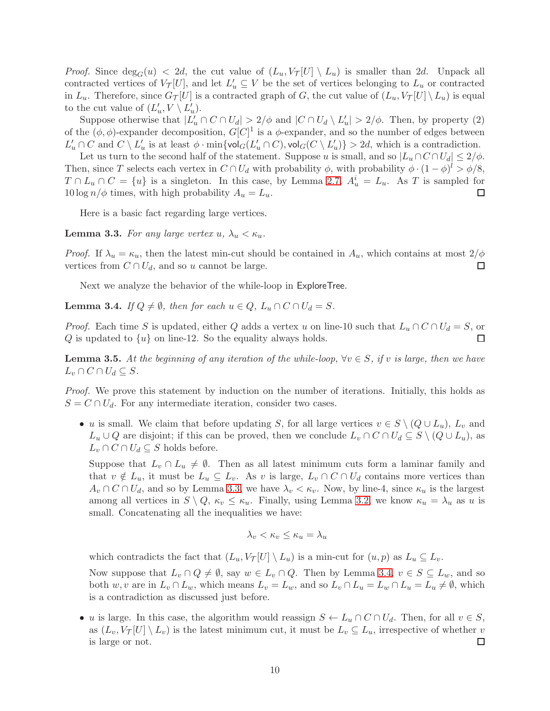*Proof.* Since  $\deg_G(u) < 2d$ , the cut value of  $(L_u, V_\mathcal{T}[U] \setminus L_u)$  is smaller than 2d. Unpack all contracted vertices of  $V_{\mathcal{T}}[U]$ , and let  $L'_u \subseteq V$  be the set of vertices belonging to  $L_u$  or contracted in  $L_u$ . Therefore, since  $G_{\mathcal{T}}[U]$  is a contracted graph of G, the cut value of  $(L_u, V_{\mathcal{T}}[U] \setminus L_u)$  is equal to the cut value of  $(L'_u, V \setminus L'_u)$ .

Suppose otherwise that  $|L'_u \cap C \cap U_d| > 2/\phi$  and  $|C \cap U_d \setminus L'_u| > 2/\phi$ . Then, by property (2) of the  $(\phi, \phi)$ -expander decomposition,  $G[C]^1$  is a  $\phi$ -expander, and so the number of edges between  $L'_u \cap C$  and  $C \setminus L'_u$  is at least  $\phi \cdot \min\{\text{vol}_G(L'_u \cap C), \text{vol}_G(C \setminus L'_u)\} > 2d$ , which is a contradiction.

Let us turn to the second half of the statement. Suppose u is small, and so  $|L_u \cap C \cap U_d| \leq 2/\phi$ . Then, since T selects each vertex in  $C \cap U_d$  with probability  $\phi$ , with probability  $\phi \cdot (1 - \phi)^l > \phi/8$ ,  $T \cap L_u \cap C = \{u\}$  is a singleton. In this case, by Lemma [2.7,](#page-4-2)  $A_u^i = L_u$ . As T is sampled for  $10 \log n/\phi$  times, with high probability  $A_u = L_u$ . □

Here is a basic fact regarding large vertices.

<span id="page-9-0"></span>**Lemma 3.3.** For any large vertex  $u, \lambda_u < \kappa_u$ .

*Proof.* If  $\lambda_u = \kappa_u$ , then the latest min-cut should be contained in  $A_u$ , which contains at most  $2/\phi$ vertices from  $C \cap U_d$ , and so u cannot be large.  $\Box$ 

Next we analyze the behavior of the while-loop in ExploreTree.

<span id="page-9-1"></span>**Lemma 3.4.** If  $Q \neq \emptyset$ , then for each  $u \in Q$ ,  $L_u \cap C \cap U_d = S$ .

*Proof.* Each time S is updated, either Q adds a vertex u on line-10 such that  $L_u \cap C \cap U_d = S$ , or Q is updated to  $\{u\}$  on line-12. So the equality always holds.  $Q$  is updated to  $\{u\}$  on line-12. So the equality always holds.

<span id="page-9-2"></span>**Lemma 3.5.** At the beginning of any iteration of the while-loop,  $\forall v \in S$ , if v is large, then we have  $L_v \cap C \cap U_d \subseteq S$ .

Proof. We prove this statement by induction on the number of iterations. Initially, this holds as  $S = C \cap U_d$ . For any intermediate iteration, consider two cases.

• u is small. We claim that before updating S, for all large vertices  $v \in S \setminus (Q \cup L_u)$ ,  $L_v$  and  $L_u \cup Q$  are disjoint; if this can be proved, then we conclude  $L_v \cap C \cap U_d \subseteq S \setminus (Q \cup L_u)$ , as  $L_v \cap C \cap U_d \subseteq S$  holds before.

Suppose that  $L_v \cap L_u \neq \emptyset$ . Then as all latest minimum cuts form a laminar family and that  $v \notin L_u$ , it must be  $L_u \subseteq L_v$ . As v is large,  $L_v \cap C \cap U_d$  contains more vertices than  $A_v \cap C \cap U_d$ , and so by Lemma [3.3,](#page-9-0) we have  $\lambda_v < \kappa_v$ . Now, by line-4, since  $\kappa_u$  is the largest among all vertices in  $S \setminus Q$ ,  $\kappa_v \leq \kappa_u$ . Finally, using Lemma [3.2,](#page-7-0) we know  $\kappa_u = \lambda_u$  as u is small. Concatenating all the inequalities we have:

$$
\lambda_v < \kappa_v \le \kappa_u = \lambda_u
$$

which contradicts the fact that  $(L_u, V_\mathcal{T}[U] \setminus L_u)$  is a min-cut for  $(u, p)$  as  $L_u \subseteq L_v$ .

Now suppose that  $L_v \cap Q \neq \emptyset$ , say  $w \in L_v \cap Q$ . Then by Lemma [3.4,](#page-9-1)  $v \in S \subseteq L_w$ , and so both w, v are in  $L_v \cap L_w$ , which means  $L_v = L_w$ , and so  $L_v \cap L_u = L_w \cap L_u = L_u \neq \emptyset$ , which is a contradiction as discussed just before.

• u is large. In this case, the algorithm would reassign  $S \leftarrow L_u \cap C \cap U_d$ . Then, for all  $v \in S$ , as  $(L_v, V_\mathcal{T}[U] \setminus L_v)$  is the latest minimum cut, it must be  $L_v \subseteq L_u$ , irrespective of whether v is large or not. is large or not.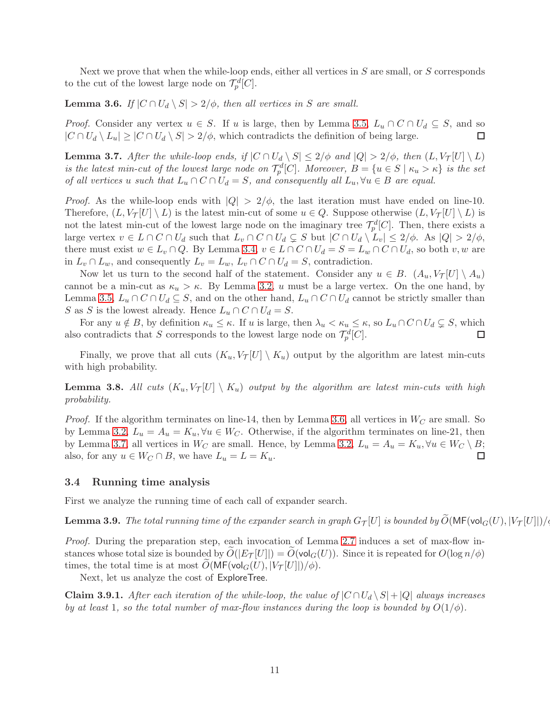Next we prove that when the while-loop ends, either all vertices in  $S$  are small, or  $S$  corresponds to the cut of the lowest large node on  $\mathcal{T}_p^d[C]$ .

<span id="page-10-0"></span>**Lemma 3.6.** If  $|C \cap U_d \setminus S| > 2/\phi$ , then all vertices in S are small.

*Proof.* Consider any vertex  $u \in S$ . If u is large, then by Lemma [3.5,](#page-9-2)  $L_u \cap C \cap U_d \subseteq S$ , and so  $|C \cap U_d \setminus L_u| > |C \cap U_d \setminus S| > 2/\phi$ , which contradicts the definition of being large.  $|C \cap U_d \setminus L_u| \ge |C \cap U_d \setminus S| > 2/\phi$ , which contradicts the definition of being large.

<span id="page-10-1"></span>**Lemma 3.7.** After the while-loop ends, if  $|C \cap U_d \setminus S| \leq 2/\phi$  and  $|Q| > 2/\phi$ , then  $(L, V_\mathcal{T}[U] \setminus L)$ is the latest min-cut of the lowest large node on  $\mathcal{T}_p^d[C]$ . Moreover,  $B = \{u \in S \mid \kappa_u > \kappa\}$  is the set of all vertices u such that  $L_u \cap C \cap U_d = S$ , and consequently all  $L_u$ ,  $\forall u \in B$  are equal.

*Proof.* As the while-loop ends with  $|Q| > 2/\phi$ , the last iteration must have ended on line-10. Therefore,  $(L, V_\mathcal{T}[U] \setminus L)$  is the latest min-cut of some  $u \in Q$ . Suppose otherwise  $(L, V_\mathcal{T}[U] \setminus L)$  is not the latest min-cut of the lowest large node on the imaginary tree  $\mathcal{T}_p^d[C]$ . Then, there exists a large vertex  $v \in L \cap C \cap U_d$  such that  $L_v \cap C \cap U_d \subsetneq S$  but  $|C \cap U_d \setminus L_v| \leq 2/\phi$ . As  $|Q| > 2/\phi$ , there must exist  $w \in L_v \cap Q$ . By Lemma [3.4,](#page-9-1)  $v \in L \cap C \cap U_d = S = L_w \cap C \cap U_d$ , so both  $v, w$  are in  $L_v \cap L_w$ , and consequently  $L_v = L_w$ ,  $L_v \cap C \cap U_d = S$ , contradiction.

Now let us turn to the second half of the statement. Consider any  $u \in B$ .  $(A_u, V_\mathcal{T}[U] \setminus A_u)$ cannot be a min-cut as  $\kappa_u > \kappa$ . By Lemma [3.2,](#page-7-0) u must be a large vertex. On the one hand, by Lemma [3.5,](#page-9-2)  $L_u \cap C \cap U_d \subseteq S$ , and on the other hand,  $L_u \cap C \cap U_d$  cannot be strictly smaller than S as S is the lowest already. Hence  $L_u \cap C \cap U_d = S$ .

For any  $u \notin B$ , by definition  $\kappa_u \leq \kappa$ . If u is large, then  $\lambda_u < \kappa_u \leq \kappa$ , so  $L_u \cap C \cap U_d \subsetneq S$ , which contradicts that S corresponds to the lowest large node on  $\mathcal{T}_a^d[C]$ . also contradicts that S corresponds to the lowest large node on  $\mathcal{T}_p^d[C]$ .

Finally, we prove that all cuts  $(K_u, V_\mathcal{T}[U] \setminus K_u)$  output by the algorithm are latest min-cuts with high probability.

**Lemma 3.8.** All cuts  $(K_u, V_\mathcal{T}[U] \setminus K_u)$  output by the algorithm are latest min-cuts with high probability.

*Proof.* If the algorithm terminates on line-14, then by Lemma [3.6,](#page-10-0) all vertices in  $W_C$  are small. So by Lemma [3.2,](#page-7-0)  $L_u = A_u = K_u$ ,  $\forall u \in W_C$ . Otherwise, if the algorithm terminates on line-21, then by Lemma [3.7,](#page-10-1) all vertices in  $W_C$  are small. Hence, by Lemma [3.2,](#page-7-0)  $L_u = A_u = K_u, \forall u \in W_C \setminus B$ ;<br>also, for any  $u \in W_C \cap B$ , we have  $L_u = L = K_u$ . also, for any  $u \in W_C \cap B$ , we have  $L_u = L = K_u$ .

## 3.4 Running time analysis

First we analyze the running time of each call of expander search.

<span id="page-10-2"></span>**Lemma 3.9.** The total running time of the expander search in graph  $G_T[U]$  is bounded by  $\widetilde{O}(\mathsf{MF}(\mathsf{vol}_G(U), |V_T[U]|)/\phi$ .

Proof. During the preparation step, each invocation of Lemma [2.7](#page-4-2) induces a set of max-flow instances whose total size is bounded by  $O(|E_{\mathcal{T}}[U]|) = O(\text{vol}_{G}(U))$ . Since it is repeated for  $O(\log n/\phi)$ times, the total time is at most  $O(MF(vol_G(U), |V_T[U]|)/\phi)$ .

Next, let us analyze the cost of ExploreTree.

**Claim 3.9.1.** After each iteration of the while-loop, the value of  $|C \cap U_d \setminus S| + |Q|$  always increases by at least 1, so the total number of max-flow instances during the loop is bounded by  $O(1/\phi)$ .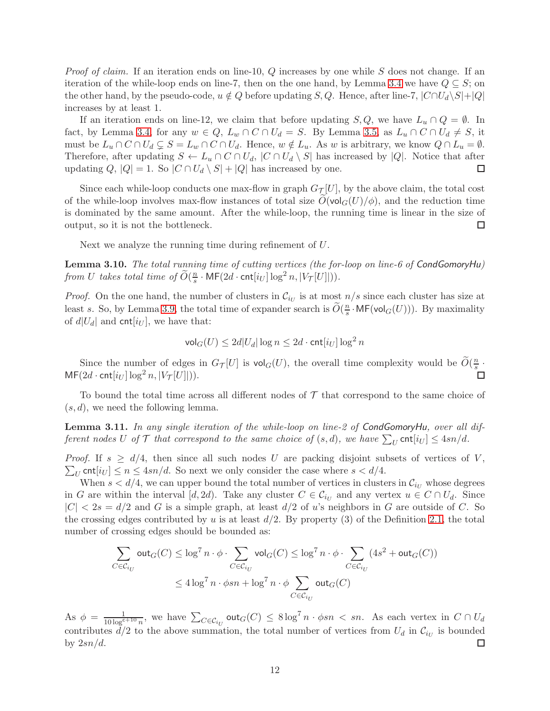*Proof of claim.* If an iteration ends on line-10,  $Q$  increases by one while  $S$  does not change. If an iteration of the while-loop ends on line-7, then on the one hand, by Lemma [3.4](#page-9-1) we have  $Q \subseteq S$ ; on the other hand, by the pseudo-code,  $u \notin Q$  before updating S, Q. Hence, after line-7,  $|C \cap U_d \backslash S|+|Q|$ increases by at least 1.

If an iteration ends on line-12, we claim that before updating  $S, Q$ , we have  $L_u \cap Q = \emptyset$ . In fact, by Lemma [3.4,](#page-9-1) for any  $w \in Q$ ,  $L_w \cap C \cap U_d = S$ . By Lemma [3.5,](#page-9-2) as  $L_u \cap C \cap U_d \neq S$ , it must be  $L_u \cap C \cap U_d \subsetneq S = L_w \cap C \cap U_d$ . Hence,  $w \notin L_u$ . As w is arbitrary, we know  $Q \cap L_u = \emptyset$ . Therefore, after updating  $S \leftarrow L_u \cap C \cap U_d$ ,  $|C \cap U_d \setminus S|$  has increased by  $|Q|$ . Notice that after updating  $Q$ ,  $|Q| = 1$ . So  $|C \cap U_d \setminus S| + |Q|$  has increased by one. updating Q,  $|Q| = 1$ . So  $|C \cap U_d \setminus S| + |Q|$  has increased by one.

Since each while-loop conducts one max-flow in graph  $G_{\mathcal{T}}[U]$ , by the above claim, the total cost of the while-loop involves max-flow instances of total size  $O(\text{vol}_G(U)/\phi)$ , and the reduction time is dominated by the same amount. After the while-loop, the running time is linear in the size of output, so it is not the bottleneck.  $\Box$ 

Next we analyze the running time during refinement of U.

<span id="page-11-0"></span>Lemma 3.10. The total running time of cutting vertices (the for-loop on line-6 of CondGomoryHu) from U takes total time of  $\widetilde{O}(\frac{n}{s})$  $\frac{n}{s} \cdot \mathsf{MF}(2d \cdot \mathsf{cnt}[i_U] \log^2 n, |V_\mathcal{T}[U]|)).$ 

*Proof.* On the one hand, the number of clusters in  $\mathcal{C}_{i_U}$  is at most  $n/s$  since each cluster has size at least s. So, by Lemma [3.9,](#page-10-2) the total time of expander search is  $\widetilde{O}(\frac{n}{s})$  $\frac{n}{s}$ ·MF(vol $_G(U)$ )). By maximality of  $d|U_d|$  and cnt $[i_U]$ , we have that:

$$
\mathsf{vol}_G(U) \le 2d|U_d| \log n \le 2d \cdot \mathsf{cnt}[i_U] \log^2 n
$$

Since the number of edges in  $G_{\mathcal{T}}[U]$  is  $\mathsf{vol}_G(U)$ , the overall time complexity would be  $\widetilde{O}(\frac{n}{s})$  $\frac{m}{s}$ .  $MF(2d \cdot \text{cnt}[i_U] \log^2 n, |V_\mathcal{T}[U]|)).$ 

To bound the total time across all different nodes of  $\mathcal T$  that correspond to the same choice of  $(s, d)$ , we need the following lemma.

<span id="page-11-1"></span>**Lemma 3.11.** In any single iteration of the while-loop on line-2 of CondGomoryHu, over all different nodes U of T that correspond to the same choice of  $(s, d)$ , we have  $\sum_{U}$  cnt $[i_U] \leq 4sn/d$ .

 $\sum_{U}$  cnt $[i_U] \le n \le 4sn/d$ . So next we only consider the case where  $s < d/4$ . *Proof.* If  $s \ge d/4$ , then since all such nodes U are packing disjoint subsets of vertices of V,

When  $s < d/4$ , we can upper bound the total number of vertices in clusters in  $\mathcal{C}_{i_U}$  whose degrees in G are within the interval  $[d, 2d)$ . Take any cluster  $C \in \mathcal{C}_{i_U}$  and any vertex  $u \in C \cap U_d$ . Since  $|C| < 2s = d/2$  and G is a simple graph, at least  $d/2$  of u's neighbors in G are outside of C. So the crossing edges contributed by u is at least  $d/2$ . By property (3) of the Definition [2.1,](#page-4-0) the total number of crossing edges should be bounded as:

$$
\sum_{C \in \mathcal{C}_{i_U}} \text{out}_G(C) \le \log^7 n \cdot \phi \cdot \sum_{C \in \mathcal{C}_{i_U}} \text{vol}_G(C) \le \log^7 n \cdot \phi \cdot \sum_{C \in \mathcal{C}_{i_U}} (4s^2 + \text{out}_G(C))
$$
  

$$
\le 4 \log^7 n \cdot \phi s n + \log^7 n \cdot \phi \sum_{C \in \mathcal{C}_{i_U}} \text{out}_G(C)
$$

As  $\phi = \frac{1}{10 \log^{c+10} n}$ , we have  $\sum_{C \in \mathcal{C}_{i_U}} \text{out}_G(C) \leq 8 \log^7 n \cdot \phi s n < sn$ . As each vertex in  $C \cap U_d$ contributes  $d/2$  to the above summation, the total number of vertices from  $U_d$  in  $\mathcal{C}_{i_U}$  is bounded by  $2sn/d$ . □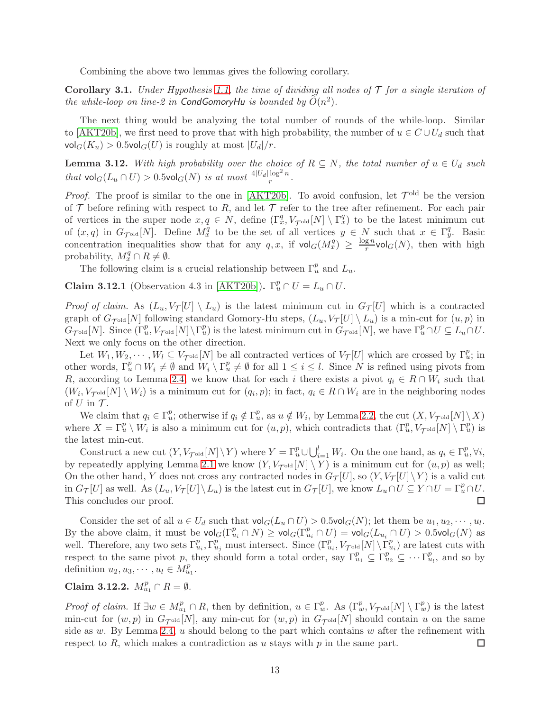Combining the above two lemmas gives the following corollary.

**Corollary 3.1.** Under Hypothesis [1.1,](#page-1-0) the time of dividing all nodes of  $\mathcal T$  for a single iteration of the while-loop on line-2 in CondGomoryHu is bounded by  $\widetilde{O}(n^2)$ .

The next thing would be analyzing the total number of rounds of the while-loop. Similar to [\[AKT20b\]](#page-16-3), we first need to prove that with high probability, the number of  $u \in C \cup U_d$  such that  $\mathsf{vol}_G(K_u) > 0.5 \mathsf{vol}_G(U)$  is roughly at most  $|U_d|/r$ .

<span id="page-12-0"></span>**Lemma 3.12.** With high probability over the choice of  $R \subseteq N$ , the total number of  $u \in U_d$  such that  $\mathsf{vol}_G(L_u \cap U) > 0.5 \mathsf{vol}_G(N)$  is at most  $\frac{4|U_d| \log^2 n}{r}$ .

*Proof.* The proof is similar to the one in [\[AKT20b\]](#page-16-3). To avoid confusion, let  $\mathcal{T}^{\text{old}}$  be the version of  $\mathcal T$  before refining with respect to R, and let  $\mathcal T$  refer to the tree after refinement. For each pair of vertices in the super node  $x, q \in N$ , define  $(\Gamma_x^q, V_{\tau_{\text{old}}}[N] \setminus \Gamma_x^q)$  to be the latest minimum cut of  $(x, q)$  in  $G_{\mathcal{T}^{\text{old}}}[N]$ . Define  $M_x^q$  to be the set of all vertices  $y \in N$  such that  $x \in \Gamma_y^q$ . Basic concentration inequalities show that for any  $q, x$ , if  $\text{vol}_G(M_x^q) \geq \frac{\log n}{r}$  $\frac{g n}{r}$ vol $_G(N)$ , then with high probability,  $M_x^q \cap R \neq \emptyset$ .

The following claim is a crucial relationship between  $\Gamma_u^p$  and  $L_u$ .

**Claim 3.12.1** (Observation 4.3 in [\[AKT20b\]](#page-16-3)).  $\Gamma_u^p \cap U = L_u \cap U$ .

*Proof of claim.* As  $(L_u, V_\mathcal{T}[U] \setminus L_u)$  is the latest minimum cut in  $G_\mathcal{T}[U]$  which is a contracted graph of  $G_{\mathcal{T}^{old}}[N]$  following standard Gomory-Hu steps,  $(L_u, V_{\mathcal{T}}[U] \setminus L_u)$  is a min-cut for  $(u, p)$  in  $G_{\mathcal{T}^{\text{old}}}[N]$ . Since  $(\Gamma_u^p, V_{\mathcal{T}^{\text{old}}}[N] \setminus \Gamma_u^p)$  is the latest minimum cut in  $G_{\mathcal{T}^{\text{old}}}[N]$ , we have  $\Gamma_u^p \cap U \subseteq L_u \cap U$ . Next we only focus on the other direction.

Let  $W_1, W_2, \cdots, W_l \subseteq V_{\mathcal{T}^{old}}[N]$  be all contracted vertices of  $V_{\mathcal{T}}[U]$  which are crossed by  $\Gamma_u^p$ ; in other words,  $\Gamma_u^p \cap W_i \neq \emptyset$  and  $W_i \setminus \Gamma_u^p \neq \emptyset$  for all  $1 \leq i \leq l$ . Since N is refined using pivots from R, according to Lemma [2.4,](#page-4-3) we know that for each i there exists a pivot  $q_i \in R \cap W_i$  such that  $(W_i, V_{\mathcal{T}^{old}}[N] \setminus W_i)$  is a minimum cut for  $(q_i, p)$ ; in fact,  $q_i \in R \cap W_i$  are in the neighboring nodes of  $U$  in  $\mathcal{T}$ .

We claim that  $q_i \in \Gamma_u^p$ ; otherwise if  $q_i \notin \Gamma_u^p$ , as  $u \notin W_i$ , by Lemma [2.2,](#page-3-0) the cut  $(X, V_{\mathcal{T}^{old}}[N] \setminus X)$ where  $X = \Gamma_u^p \setminus W_i$  is also a minimum cut for  $(u, p)$ , which contradicts that  $(\Gamma_u^p, V_{\tau^{old}}[N] \setminus \Gamma_u^p)$  is the latest min-cut.

Construct a new cut  $(Y, V_{\mathcal{T}^{old}}[N] \setminus Y)$  where  $Y = \Gamma_u^p \cup \bigcup_{i=1}^l W_i$ . On the one hand, as  $q_i \in \Gamma_u^p, \forall i$ , by repeatedly applying Lemma [2.1](#page-3-1) we know  $(Y, V_{\tau_{\text{old}}}[N] \setminus Y)$  is a minimum cut for  $(u, p)$  as well; On the other hand, Y does not cross any contracted nodes in  $G_{\mathcal{T}}[U]$ , so  $(Y, V_{\mathcal{T}}[U]\setminus Y)$  is a valid cut in  $G_{\mathcal{T}}[U]$  as well. As  $(L_u, V_{\mathcal{T}}[U] \setminus L_u)$  is the latest cut in  $G_{\mathcal{T}}[U]$ , we know  $L_u \cap U \subseteq Y \cap U = \Gamma_u^p \cap U$ . This concludes our proof.

Consider the set of all  $u \in U_d$  such that  $\text{vol}_G(L_u \cap U) > 0.5 \text{vol}_G(N)$ ; let them be  $u_1, u_2, \dots, u_l$ . By the above claim, it must be  $\text{vol}_G(\Gamma_{u_i}^p \cap N) \ge \text{vol}_G(\Gamma_{u_i}^p \cap U) = \text{vol}_G(L_{u_i} \cap U) > 0.5 \text{vol}_G(N)$  as well. Therefore, any two sets  $\Gamma_{u_i}^p, \Gamma_{u_j}^p$  must intersect. Since  $(\Gamma_{u_i}^p, V_{\tau_{\text{old}}}[N] \setminus \Gamma_{u_i}^p)$  are latest cuts with respect to the same pivot p, they should form a total order, say  $\Gamma_{u_1}^p \subseteq \Gamma_{u_2}^p \subseteq \cdots \Gamma_{u_l}^p$ , and so by definition  $u_2, u_3, \dots, u_l \in M_{u_1}^p$ .

Claim 3.12.2.  $M_{u_1}^p \cap R = \emptyset$ .

*Proof of claim.* If  $\exists w \in M_{u_1}^p \cap R$ , then by definition,  $u \in \Gamma_w^p$ . As  $(\Gamma_w^p, V_{\mathcal{T}^{old}}[N] \setminus \Gamma_w^p)$  is the latest min-cut for  $(w, p)$  in  $G_{\text{Total}}[N]$ , any min-cut for  $(w, p)$  in  $G_{\text{Total}}[N]$  should contain u on the same side as  $w$ . By Lemma [2.4,](#page-4-3)  $u$  should belong to the part which contains  $w$  after the refinement with respect to  $R$ , which makes a contradiction as u stays with  $p$  in the same part.  $\Box$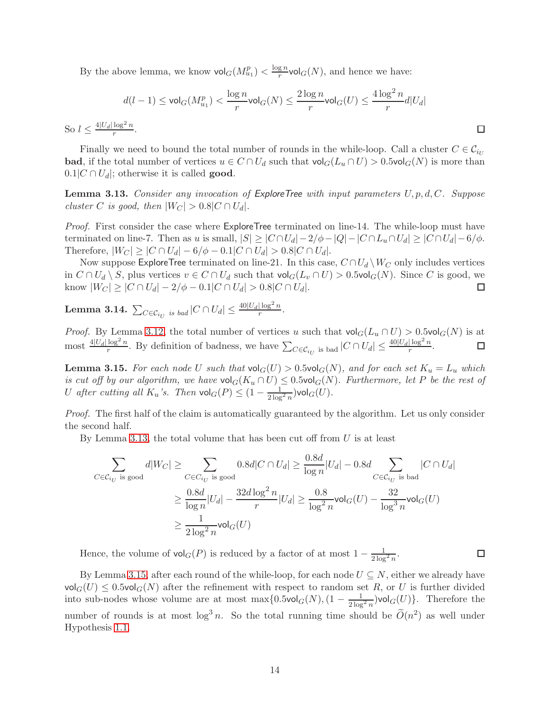By the above lemma, we know  $\mathsf{vol}_G(M^p_{u_1}) < \frac{\log n}{r}$  $\frac{g n}{r}$ vol $_G(N)$ , and hence we have:

$$
d(l-1) \leq \text{vol}_G(M_{u_1}^p) < \frac{\log n}{r} \text{vol}_G(N) \leq \frac{2\log n}{r} \text{vol}_G(U) \leq \frac{4\log^2 n}{r} d|U_d|
$$
  
So  $l \leq \frac{4|U_d|\log^2 n}{r}$ .

Finally we need to bound the total number of rounds in the while-loop. Call a cluster  $C \in \mathcal{C}_{i_U}$ **bad**, if the total number of vertices  $u \in C \cap U_d$  such that  $vol_G(L_u \cap U) > 0.5vol_G(N)$  is more than  $[0.1]C \cap U_d$ ; otherwise it is called **good**.

<span id="page-13-0"></span>**Lemma 3.13.** Consider any invocation of ExploreTree with input parameters  $U, p, d, C$ . Suppose cluster C is good, then  $|W_C| > 0.8|C \cap U_d|$ .

Proof. First consider the case where ExploreTree terminated on line-14. The while-loop must have terminated on line-7. Then as u is small,  $|S| \geq |C \cap U_d| - 2/\phi - |Q| - |C \cap L_u \cap U_d| \geq |C \cap U_d| - 6/\phi$ . Therefore,  $|W_C| \ge |C \cap U_d| - 6/\phi - 0.1|C \cap U_d| > 0.8|C \cap U_d|$ .

Now suppose ExploreTree terminated on line-21. In this case,  $C \cap U_d \setminus W_C$  only includes vertices in  $C \cap U_d \setminus S$ , plus vertices  $v \in C \cap U_d$  such that  $\mathsf{vol}_G(L_v \cap U) > 0.5\mathsf{vol}_G(N)$ . Since C is good, we know  $|W_C| > |C \cap U_d| - 2/\phi - 0.1|C \cap U_d| > 0.8|C \cap U_d|$ . □ know  $|W_C| \ge |C \cap U_d| - 2/\phi - 0.1|C \cap U_d| > 0.8|C \cap U_d|$ .

Lemma 3.14.  $\sum_{C \in \mathcal{C}_{i_U}}$  is bad  $|C \cap U_d| \leq \frac{40|U_d|\log^2 n}{r}$ .

*Proof.* By Lemma [3.12,](#page-12-0) the total number of vertices u such that  $\text{vol}_G(L_u \cap U) > 0.5 \text{vol}_G(N)$  is at most  $\frac{4|U_d|\log^2 n}{r}$ . By definition of badness, we have  $\sum_{C \in \mathcal{C}_{i_U}}$  is bad  $|C \cap U_d| \leq \frac{40|U_d|\log^2 n}{r}$  $\Box$ .

<span id="page-13-1"></span>**Lemma 3.15.** For each node U such that  $\text{vol}_G(U) > 0.5 \text{vol}_G(N)$ , and for each set  $K_u = L_u$  which is cut off by our algorithm, we have  $\text{vol}_G(K_u \cap U) \leq 0.5 \text{vol}_G(N)$ . Furthermore, let P be the rest of U after cutting all  $K_u$ 's. Then  $\mathsf{vol}_G(P) \leq (1 - \frac{1}{2 \log^2 n}) \mathsf{vol}_G(U)$ .

Proof. The first half of the claim is automatically guaranteed by the algorithm. Let us only consider the second half.

By Lemma [3.13,](#page-13-0) the total volume that has been cut off from  $U$  is at least

$$
\sum_{C \in \mathcal{C}_{i_U} \text{ is good}} d|W_C| \ge \sum_{C \in C_{i_U} \text{ is good}} 0.8d|C \cap U_d| \ge \frac{0.8d}{\log n}|U_d| - 0.8d \sum_{C \in \mathcal{C}_{i_U} \text{ is bad}} |C \cap U_d|
$$

$$
\ge \frac{0.8d}{\log n}|U_d| - \frac{32d \log^2 n}{r}|U_d| \ge \frac{0.8}{\log^2 n} \text{vol}_G(U) - \frac{32}{\log^3 n} \text{vol}_G(U)
$$

$$
\ge \frac{1}{2 \log^2 n} \text{vol}_G(U)
$$

Hence, the volume of  $\mathsf{vol}_G(P)$  is reduced by a factor of at most  $1 - \frac{1}{2 \log^2 n}$ .

 $\Box$ 

By Lemma [3.15,](#page-13-1) after each round of the while-loop, for each node  $U \subseteq N$ , either we already have  $\mathsf{vol}_G(U) \leq 0.5 \mathsf{vol}_G(N)$  after the refinement with respect to random set R, or U is further divided into sub-nodes whose volume are at most  $\max\{0.5$ vol $_G(N)$ , $(1 - \frac{1}{2\log^2 n})$ vol $_G(U)$ }. Therefore the number of rounds is at most  $\log^3 n$ . So the total running time should be  $\widetilde{O}(n^2)$  as well under Hypothesis [1.1.](#page-1-0)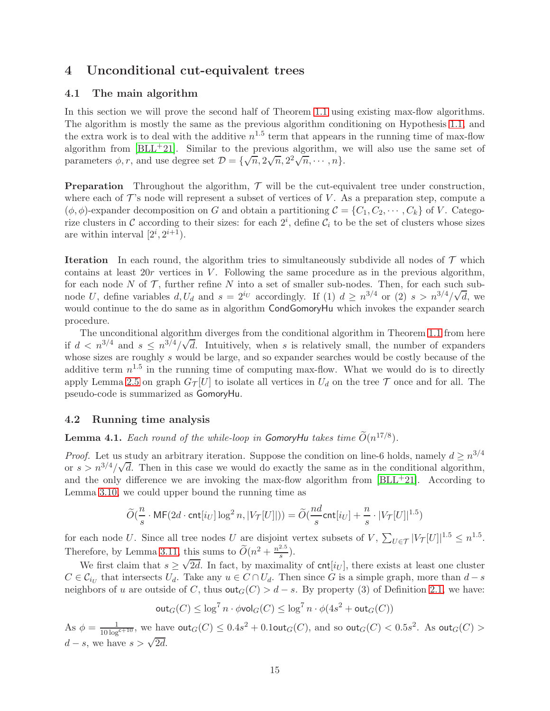# 4 Unconditional cut-equivalent trees

## 4.1 The main algorithm

In this section we will prove the second half of Theorem [1.1](#page-1-1) using existing max-flow algorithms. The algorithm is mostly the same as the previous algorithm conditioning on Hypothesis [1.1,](#page-1-0) and the extra work is to deal with the additive  $n^{1.5}$  term that appears in the running time of max-flow algorithm from  $|BLL+21|$ . Similar to the previous algorithm, we will also use the same set of parameters  $\phi, r$ , and use degree set  $\mathcal{D} = {\overline{\{\sqrt{n}, 2\sqrt{n}, 2^2\sqrt{n}, \cdots, n\}}}$ .

**Preparation** Throughout the algorithm,  $\mathcal{T}$  will be the cut-equivalent tree under construction, where each of  $\mathcal{T}$ 's node will represent a subset of vertices of V. As a preparation step, compute a  $(\phi, \phi)$ -expander decomposition on G and obtain a partitioning  $\mathcal{C} = \{C_1, C_2, \cdots, C_k\}$  of V. Categorize clusters in C according to their sizes: for each  $2^i$ , define  $C_i$  to be the set of clusters whose sizes are within interval  $[2^i, 2^{i+1})$ .

**Iteration** In each round, the algorithm tries to simultaneously subdivide all nodes of  $\mathcal{T}$  which contains at least  $20r$  vertices in V. Following the same procedure as in the previous algorithm, for each node  $N$  of  $\mathcal T$ , further refine  $N$  into a set of smaller sub-nodes. Then, for each such subnode U, define variables  $d, U_d$  and  $s = 2^{i_U}$  accordingly. If (1)  $d \ge n^{3/4}$  or (2)  $s > n^{3/4}/\sqrt{d}$ , we would continue to the do same as in algorithm CondGomoryHu which invokes the expander search procedure.

The unconditional algorithm diverges from the conditional algorithm in Theorem [1.1](#page-1-1) from here if  $d < n^{3/4}$  and  $s \le n^{3/4}/\sqrt{d}$ . Intuitively, when s is relatively small, the number of expanders whose sizes are roughly s would be large, and so expander searches would be costly because of the additive term  $n^{1.5}$  in the running time of computing max-flow. What we would do is to directly apply Lemma [2.5](#page-4-4) on graph  $G_{\mathcal{T}}[U]$  to isolate all vertices in  $U_d$  on the tree  $\mathcal T$  once and for all. The pseudo-code is summarized as GomoryHu.

## 4.2 Running time analysis

**Lemma 4.1.** Each round of the while-loop in GomoryHu takes time  $\tilde{O}(n^{17/8})$ .

*Proof.* Let us study an arbitrary iteration. Suppose the condition on line-6 holds, namely  $d \geq n^{3/4}$ or  $s > n^{3/4}/\sqrt{d}$ . Then in this case we would do exactly the same as in the conditional algorithm, and the only difference we are invoking the max-flow algorithm from  $[BLL+21]$ . According to Lemma [3.10,](#page-11-0) we could upper bound the running time as

$$
\widetilde{O}(\frac{n}{s} \cdot \mathsf{MF}(2d \cdot \mathsf{cnt}[i_U] \log^2 n, |V_\mathcal{T}[U]|)) = \widetilde{O}(\frac{nd}{s} \mathsf{cnt}[i_U] + \frac{n}{s} \cdot |V_\mathcal{T}[U]|^{1.5})
$$

for each node U. Since all tree nodes U are disjoint vertex subsets of V,  $\sum_{U \in \mathcal{T}} |V_{\mathcal{T}}[U]|^{1.5} \leq n^{1.5}$ . Therefore, by Lemma [3.11,](#page-11-1) this sums to  $\widetilde{O}(n^2 + \frac{n^{2.5}}{s})$  $\frac{z \cdot 5}{s}$ ).

We first claim that  $s \geq \sqrt{2d}$ . In fact, by maximality of cnt $[i_U]$ , there exists at least one cluster  $C \in \mathcal{C}_{i_U}$  that intersects  $U_d$ . Take any  $u \in C \cap U_d$ . Then since G is a simple graph, more than  $d - s$ neighbors of u are outside of C, thus  $\text{out}_G(C) > d - s$ . By property (3) of Definition [2.1,](#page-4-0) we have:

$$
\text{out}_G(C) \le \log^7 n \cdot \phi \text{vol}_G(C) \le \log^7 n \cdot \phi(4s^2 + \text{out}_G(C))
$$

As  $\phi = \frac{1}{10 \log^{c+10}}$ , we have  $\text{out}_G(C) \le 0.4s^2 + 0.1$ out $_G(C)$ , and so  $\text{out}_G(C) < 0.5s^2$ . As  $\text{out}_G(C) > 0.1$  $d - s$ , we have  $s > \sqrt{2d}$ .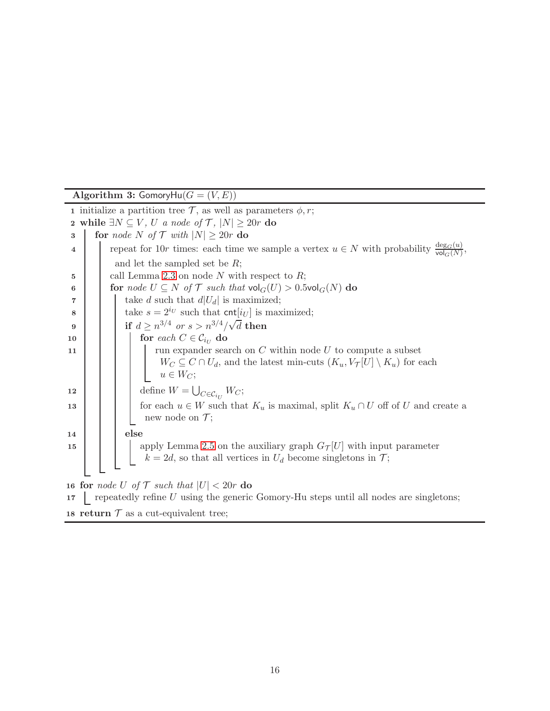Algorithm 3: GomoryHu $(G = (V, E))$ 1 initialize a partition tree  $\mathcal{T}$ , as well as parameters  $\phi$ , r; 2 while  $\exists N \subseteq V$ , U a node of  $\mathcal{T}$ ,  $|N| \geq 20r$  do<br>3  $\parallel$  for node N of  $\mathcal{T}$  with  $|N| \geq 20r$  do for node N of  $\mathcal{T}$  with  $|N| \geq 20r$  do 4 repeat for 10r times: each time we sample a vertex  $u \in N$  with probability  $\frac{\deg_G(u)}{\text{vol}_G(N)}$ , and let the sampled set be R;  $\mathbf{5}$  | call Lemma [2.3](#page-4-1) on node N with respect to R; 6 **for** node  $U \subseteq N$  of  $\mathcal{T}$  such that  $\text{vol}_G(U) > 0.5 \text{vol}_G(N)$  do <br> **for** take d such that  $d|U_d|$  is maximized; 7 take d such that  $d|U_d|$  is maximized;<br>take  $s = 2^{i_U}$  such that  $\text{cnt}[i_U]$  is maximized; take  $s = 2^{i_U}$  such that cnt $[i_U]$  is maximized; 9 if  $d \geq n^{3/4}$  or  $s > n^{3/4}/\sqrt{d}$  then 10 **for** each  $C \in \mathcal{C}_{i_U}$  do 11  $\vert \vert \vert$  run expander search on C within node U to compute a subset  $W_C \subseteq C \cap U_d$ , and the latest min-cuts  $(K_u, V_{\mathcal{T}}[U] \setminus K_u)$  for each  $u \in W_C$ ; 12  $\Big|\Big|$  define  $W = \bigcup$  $_{C\in\mathcal{C}_{i_{U}}}W_{C};$ 13  $\Box$  for each  $u \in W$  such that  $K_u$  is maximal, split  $K_u \cap U$  off of U and create a new node on  $\mathcal{T}$ ; 14 else 15 | | | apply Lemma [2.5](#page-4-4) on the auxiliary graph  $G_{\mathcal{T}}[U]$  with input parameter  $k = 2d$ , so that all vertices in  $U_d$  become singletons in  $\mathcal{T}$ ; 16 for *node U* of  $\mathcal{T}$  such that  $|U| < 20r$  do<br>17 | repeatedly refine U using the generic  $\Box$  repeatedly refine U using the generic Gomory-Hu steps until all nodes are singletons; 18 return  $\mathcal T$  as a cut-equivalent tree;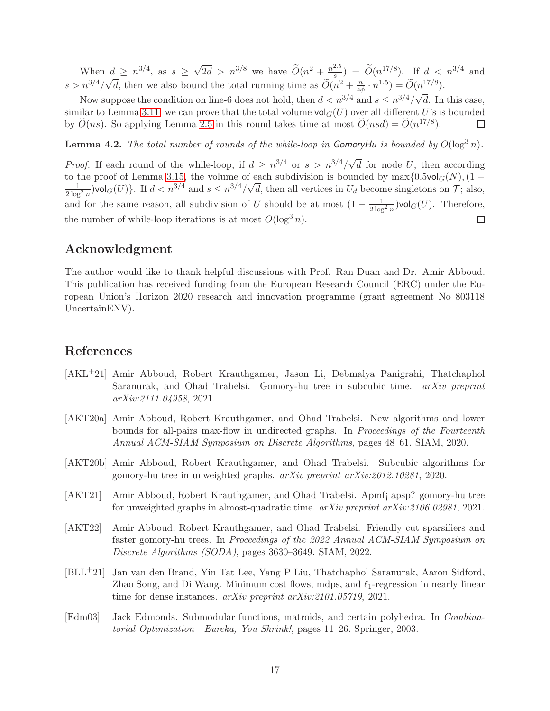When  $d \geq n^{3/4}$ , as  $s \geq \sqrt{2d} > n^{3/8}$  we have  $\widetilde{O}(n^2 + \frac{n^{2.5}}{s})$  $(\frac{a}{s}) = \tilde{O}(n^{17/8})$ . If  $d < n^{3/4}$  and  $s > n^{3/4}/\sqrt{d}$ , then we also bound the total running time as  $\widetilde{O}(n^2 + \frac{n}{s\phi} \cdot n^{1.5}) = \widetilde{O}(n^{17/8})$ .

Now suppose the condition on line-6 does not hold, then  $d < n^{3/4}$  and  $s \leq n^{3/4}/\sqrt{d}$ . In this case, similar to Lemma [3.11,](#page-11-1) we can prove that the total volume  $\text{vol}_G(U)$  over all different U's is bounded by  $\tilde{O}(ns)$ . So applying Lemma [2.5](#page-4-4) in this round takes time at most  $\tilde{O}(nsd) = \tilde{O}(n^{17/8})$ . □

**Lemma 4.2.** The total number of rounds of the while-loop in GomoryHu is bounded by  $O(\log^3 n)$ .

*Proof.* If each round of the while-loop, if  $d \geq n^{3/4}$  or  $s > n^{3/4}/\sqrt{d}$  for node U, then according to the proof of Lemma [3.15,](#page-13-1) the volume of each subdivision is bounded by  $\max\{0.5 \text{vol}_G(N), (1 \frac{1}{2\log^2 n}$ )vol $G(U)$ . If  $d < n^{3/4}$  and  $s \le n^{3/4}/\sqrt{d}$ , then all vertices in  $U_d$  become singletons on  $\mathcal{T}$ ; also, and for the same reason, all subdivision of U should be at most  $(1 - \frac{1}{2 \log^2 n})$ vol $_G(U)$ . Therefore, the number of while-loop iterations is at most  $O(\log^3 n)$ . □

# Acknowledgment

The author would like to thank helpful discussions with Prof. Ran Duan and Dr. Amir Abboud. This publication has received funding from the European Research Council (ERC) under the European Union's Horizon 2020 research and innovation programme (grant agreement No 803118 UncertainENV).

# References

- <span id="page-16-6"></span>[AKL+21] Amir Abboud, Robert Krauthgamer, Jason Li, Debmalya Panigrahi, Thatchaphol Saranurak, and Ohad Trabelsi. Gomory-hu tree in subcubic time. arXiv preprint arXiv:2111.04958, 2021.
- <span id="page-16-2"></span>[AKT20a] Amir Abboud, Robert Krauthgamer, and Ohad Trabelsi. New algorithms and lower bounds for all-pairs max-flow in undirected graphs. In Proceedings of the Fourteenth Annual ACM-SIAM Symposium on Discrete Algorithms, pages 48–61. SIAM, 2020.
- <span id="page-16-3"></span>[AKT20b] Amir Abboud, Robert Krauthgamer, and Ohad Trabelsi. Subcubic algorithms for gomory-hu tree in unweighted graphs. arXiv preprint arXiv:2012.10281, 2020.
- <span id="page-16-4"></span>[AKT21] Amir Abboud, Robert Krauthgamer, and Ohad Trabelsi. Apmf¡ apsp? gomory-hu tree for unweighted graphs in almost-quadratic time. arXiv preprint arXiv:2106.02981, 2021.
- <span id="page-16-5"></span>[AKT22] Amir Abboud, Robert Krauthgamer, and Ohad Trabelsi. Friendly cut sparsifiers and faster gomory-hu trees. In Proceedings of the 2022 Annual ACM-SIAM Symposium on Discrete Algorithms (SODA), pages 3630–3649. SIAM, 2022.
- <span id="page-16-0"></span>[BLL+21] Jan van den Brand, Yin Tat Lee, Yang P Liu, Thatchaphol Saranurak, Aaron Sidford, Zhao Song, and Di Wang. Minimum cost flows, mdps, and  $\ell_1$ -regression in nearly linear time for dense instances. arXiv preprint arXiv:2101.05719, 2021.
- <span id="page-16-1"></span>[Edm03] Jack Edmonds. Submodular functions, matroids, and certain polyhedra. In Combinatorial Optimization—Eureka, You Shrink!, pages 11–26. Springer, 2003.